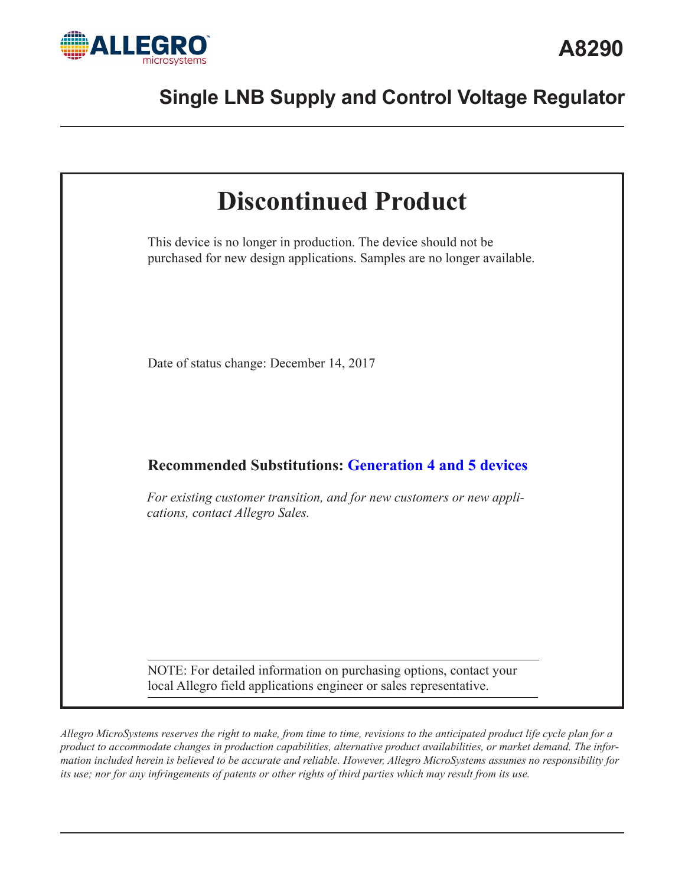



*Allegro MicroSystems reserves the right to make, from time to time, revisions to the anticipated product life cycle plan for a product to accommodate changes in production capabilities, alternative product availabilities, or market demand. The information included herein is believed to be accurate and reliable. However, Allegro MicroSystems assumes no responsibility for its use; nor for any infringements of patents or other rights of third parties which may result from its use.*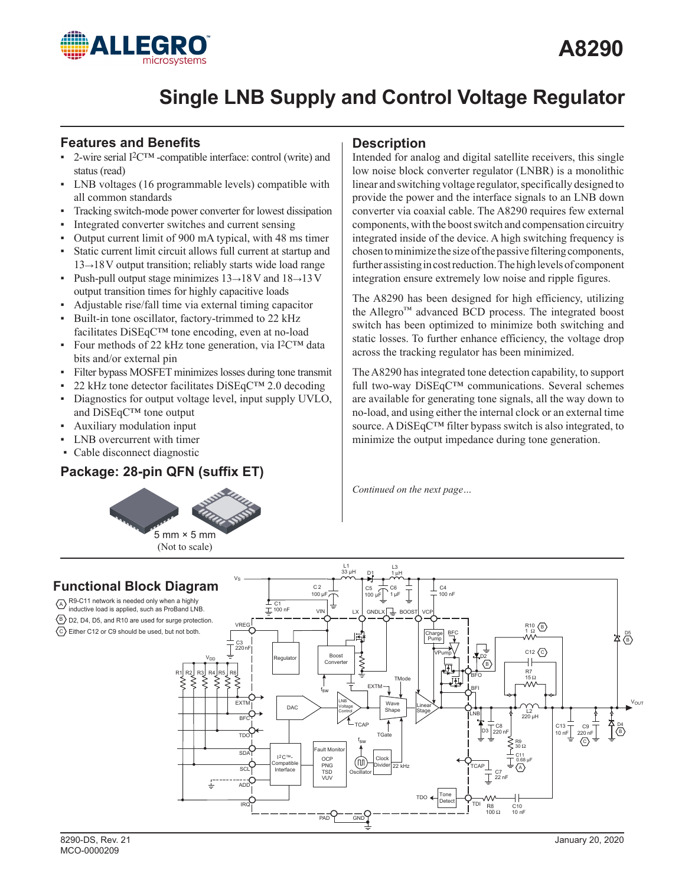

## **Features and Benefits**

- 2-wire serial I<sup>2</sup>C<sup>™</sup> -compatible interface: control (write) and status (read)
- ▪ LNB voltages (16 programmable levels) compatible with all common standards
- Tracking switch-mode power converter for lowest dissipation
- Integrated converter switches and current sensing
- ▪ Output current limit of 900 mA typical, with 48 ms timer
- Static current limit circuit allows full current at startup and 13*→*18V output transition; reliably starts wide load range
- Push-pull output stage minimizes 13→18V and 18→13V output transition times for highly capacitive loads
- Adjustable rise/fall time via external timing capacitor
- Built-in tone oscillator, factory-trimmed to 22 kHz facilitates DiSEqC™ tone encoding, even at no-load
- Four methods of 22 kHz tone generation, via I<sup>2</sup>C<sup>™</sup> data bits and/or external pin
- Filter bypass MOSFET minimizes losses during tone transmit
- 22 kHz tone detector facilitates DiSEqC™ 2.0 decoding
- Diagnostics for output voltage level, input supply UVLO, and DiSEqC™ tone output
- Auxiliary modulation input
- LNB overcurrent with timer
- Cable disconnect diagnostic

## **Package: 28-pin QFN (suffix ET)**



## **Description**

Intended for analog and digital satellite receivers, this single low noise block converter regulator (LNBR) is a monolithic linear and switching voltage regulator, specifically designed to provide the power and the interface signals to an LNB down converter via coaxial cable. The A8290 requires few external components, with the boost switch and compensation circuitry integrated inside of the device. A high switching frequency is chosen to minimize the size of the passive filtering components, further assisting in cost reduction. The high levels of component integration ensure extremely low noise and ripple figures.

The A8290 has been designed for high efficiency, utilizing the Allegro™ advanced BCD process. The integrated boost switch has been optimized to minimize both switching and static losses. To further enhance efficiency, the voltage drop across the tracking regulator has been minimized.

The A8290 has integrated tone detection capability, to support full two-way DiSEqC™ communications. Several schemes are available for generating tone signals, all the way down to no-load, and using either the internal clock or an external time source. A DiSEqC™ filter bypass switch is also integrated, to minimize the output impedance during tone generation.

*Continued on the next page…*

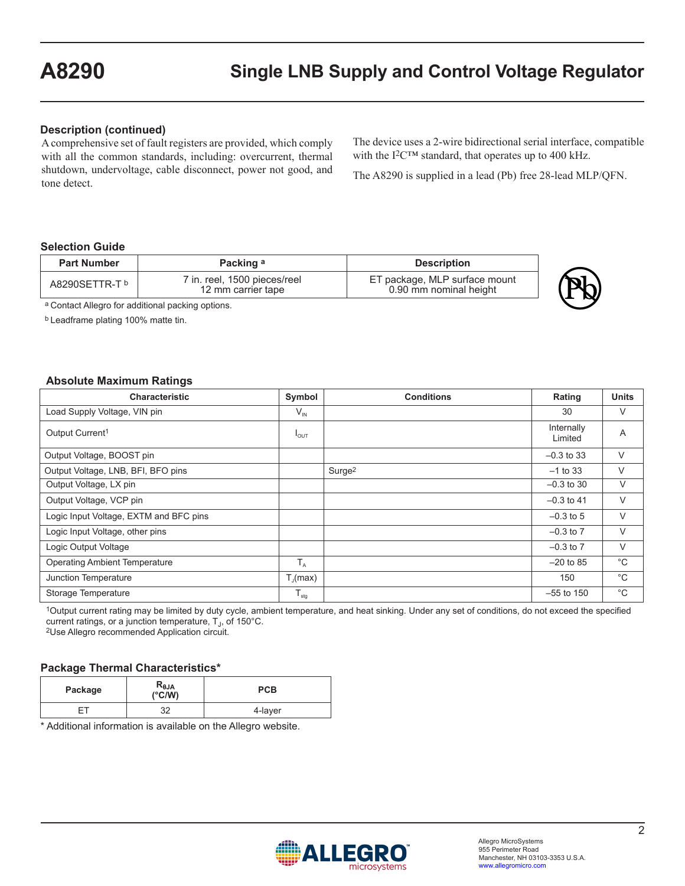#### **Description (continued)**

A comprehensive set of fault registers are provided, which comply with all the common standards, including: overcurrent, thermal shutdown, undervoltage, cable disconnect, power not good, and tone detect.

The device uses a 2-wire bidirectional serial interface, compatible with the I<sup>2</sup>C™ standard, that operates up to 400 kHz.

The A8290 is supplied in a lead (Pb) free 28-lead MLP/QFN.

#### **Selection Guide**

| <b>Part Number</b> | Packing a                                          | <b>Description</b>                                      |  |
|--------------------|----------------------------------------------------|---------------------------------------------------------|--|
| A8290SETTR-T b     | 7 in. reel, 1500 pieces/reel<br>12 mm carrier tape | ET package, MLP surface mount<br>0.90 mm nominal height |  |

a Contact Allegro for additional packing options.

b Leadframe plating 100% matte tin.

#### **Absolute Maximum Ratings**

| <b>Characteristic</b>                  | Symbol               | <b>Conditions</b>  | Rating                | <b>Units</b> |
|----------------------------------------|----------------------|--------------------|-----------------------|--------------|
| Load Supply Voltage, VIN pin           | $V_{\text{IN}}$      |                    | 30                    | V            |
| Output Current <sup>1</sup>            | $I_{OUT}$            |                    | Internally<br>Limited | A            |
| Output Voltage, BOOST pin              |                      |                    | $-0.3$ to 33          | V            |
| Output Voltage, LNB, BFI, BFO pins     |                      | Surge <sup>2</sup> | $-1$ to 33            | V            |
| Output Voltage, LX pin                 |                      |                    | $-0.3$ to 30          | V            |
| Output Voltage, VCP pin                |                      |                    | $-0.3$ to 41          | V            |
| Logic Input Voltage, EXTM and BFC pins |                      |                    | $-0.3$ to 5           | V            |
| Logic Input Voltage, other pins        |                      |                    | $-0.3$ to $7$         | V            |
| Logic Output Voltage                   |                      |                    | $-0.3$ to $7$         | V            |
| <b>Operating Ambient Temperature</b>   | $T_A$                |                    | $-20$ to 85           | °C           |
| Junction Temperature                   | $T_{\text{I}}$ (max) |                    | 150                   | $^{\circ}C$  |
| Storage Temperature                    | $T_{\text{stg}}$     |                    | $-55$ to 150          | $^{\circ}C$  |

1Output current rating may be limited by duty cycle, ambient temperature, and heat sinking. Under any set of conditions, do not exceed the specified current ratings, or a junction temperature, T<sub>J</sub>, of 150°C.<br><sup>2</sup>Use Allegro recommended Application circuit.

#### **Package Thermal Characteristics\***

| Package | $R_{\theta$ JA<br>$(^{\circ}C/W)$ | <b>PCB</b> |
|---------|-----------------------------------|------------|
| -⊏⊤     | ົດ<br>ັ້                          | 4-layer    |

\* Additional information is available on the Allegro website.

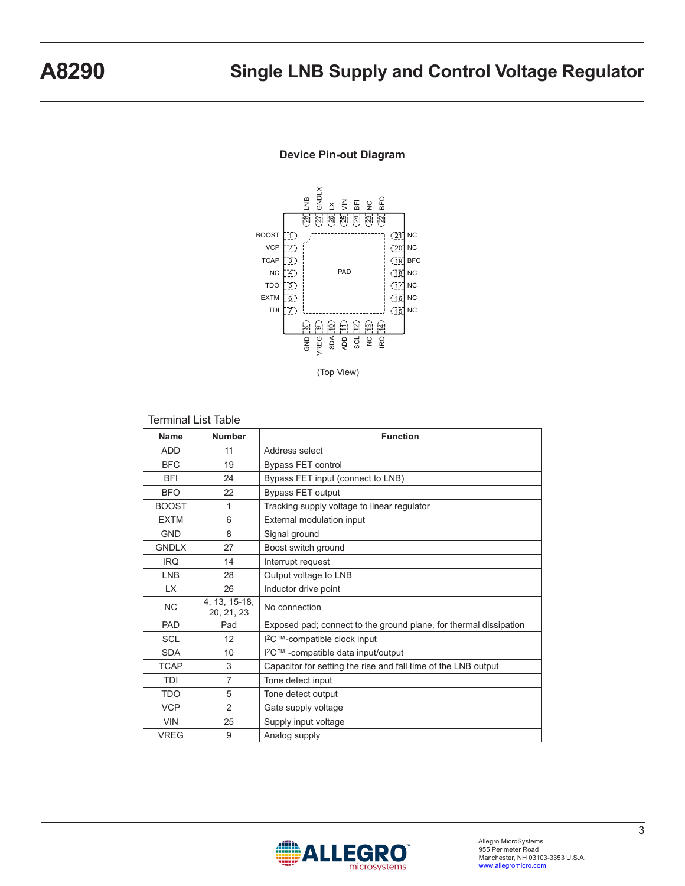

#### **Device Pin-out Diagram**

#### Terminal List Table

| <b>Name</b>  | <b>Number</b>               | <b>Function</b>                                                   |
|--------------|-----------------------------|-------------------------------------------------------------------|
| <b>ADD</b>   | 11                          | Address select                                                    |
| <b>BFC</b>   | 19                          | <b>Bypass FET control</b>                                         |
| <b>BFI</b>   | 24                          | Bypass FET input (connect to LNB)                                 |
| <b>BFO</b>   | 22                          | <b>Bypass FET output</b>                                          |
| <b>BOOST</b> | 1                           | Tracking supply voltage to linear regulator                       |
| <b>EXTM</b>  | 6                           | External modulation input                                         |
| <b>GND</b>   | 8                           | Signal ground                                                     |
| <b>GNDLX</b> | 27                          | Boost switch ground                                               |
| <b>IRQ</b>   | 14                          | Interrupt request                                                 |
| <b>LNB</b>   | 28                          | Output voltage to LNB                                             |
| <b>LX</b>    | 26                          | Inductor drive point                                              |
| <b>NC</b>    | 4, 13, 15-18,<br>20, 21, 23 | No connection                                                     |
| PAD          | Pad                         | Exposed pad; connect to the ground plane, for thermal dissipation |
| <b>SCL</b>   | 12                          | I <sup>2</sup> C™-compatible clock input                          |
| <b>SDA</b>   | 10                          | I <sup>2</sup> C™ -compatible data input/output                   |
| <b>TCAP</b>  | 3                           | Capacitor for setting the rise and fall time of the LNB output    |
| <b>TDI</b>   | $\overline{7}$              | Tone detect input                                                 |
| <b>TDO</b>   | 5                           | Tone detect output                                                |
| <b>VCP</b>   | $\mathfrak{p}$              | Gate supply voltage                                               |
| <b>VIN</b>   | 25                          | Supply input voltage                                              |
| <b>VREG</b>  | 9                           | Analog supply                                                     |

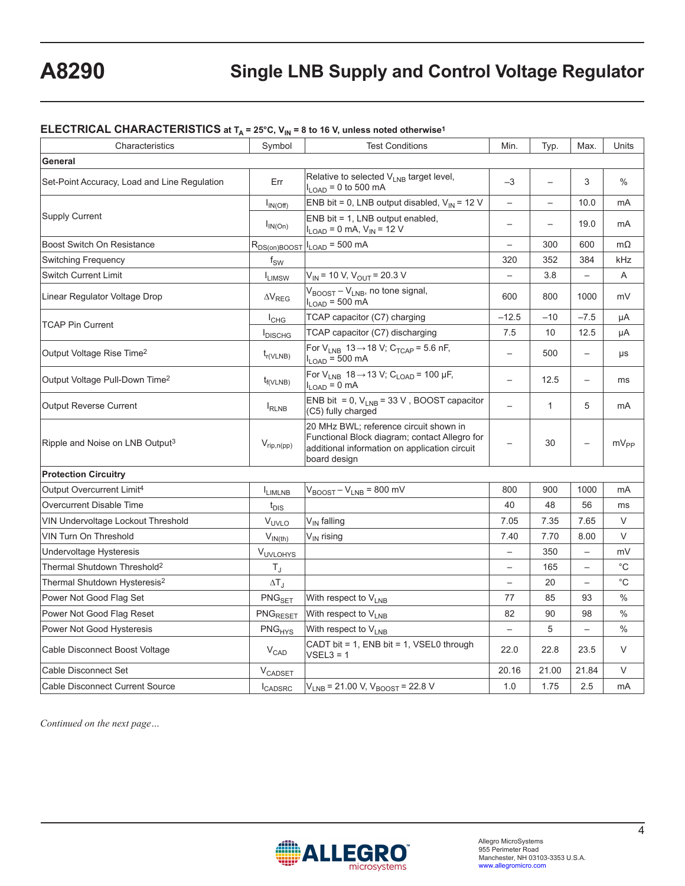## **ELECTRICAL CHARACTERISTICS at T<sub>A</sub> = 25°C, V<sub>IN</sub> = 8 to 16 V, unless noted otherwise<sup>1</sup>**

| Characteristics                              | Symbol                            | <b>Test Conditions</b>                                                                                                                                   | Min.                     | Typ.                     | Max.                     | Units         |
|----------------------------------------------|-----------------------------------|----------------------------------------------------------------------------------------------------------------------------------------------------------|--------------------------|--------------------------|--------------------------|---------------|
| General                                      |                                   |                                                                                                                                                          |                          |                          |                          |               |
| Set-Point Accuracy, Load and Line Regulation | Err                               | Relative to selected V <sub>LNB</sub> target level,<br>$I_{LOAD}$ = 0 to 500 mA                                                                          | $-3$                     |                          | 3                        | $\%$          |
|                                              | $I_{IN(Off)}$                     | ENB bit = 0, LNB output disabled, $V_{IN}$ = 12 V                                                                                                        | $\overline{\phantom{0}}$ |                          | 10.0                     | mA            |
| <b>Supply Current</b>                        | $I_{IN(On)}$                      | $ENB$ bit = 1, LNB output enabled,<br>$I_{LOAD} = 0$ mA, $V_{IN} = 12$ V                                                                                 | $\overline{\phantom{0}}$ | $\overline{\phantom{0}}$ | 19.0                     | mA            |
| Boost Switch On Resistance                   | R <sub>DS(on)BOOST</sub>          | $I_{LOAD}$ = 500 mA                                                                                                                                      | $\overline{\phantom{0}}$ | 300                      | 600                      | $m\Omega$     |
| <b>Switching Frequency</b>                   | $f_{SW}$                          |                                                                                                                                                          | 320                      | 352                      | 384                      | kHz           |
| <b>Switch Current Limit</b>                  | $I_{LIMSW}$                       | $V_{IN}$ = 10 V, $V_{OUT}$ = 20.3 V                                                                                                                      | $\overline{\phantom{0}}$ | 3.8                      | $\overline{a}$           | A             |
| Linear Regulator Voltage Drop                | $\Delta\mathsf{V}_{\mathsf{REG}}$ | V <sub>BOOST</sub> – V <sub>LNB</sub> , no tone signal,<br>$I_{LOAD}$ = 500 mA                                                                           | 600                      | 800                      | 1000                     | mV            |
| <b>TCAP Pin Current</b>                      | $I_{CHG}$                         | TCAP capacitor (C7) charging                                                                                                                             | $-12.5$                  | $-10$                    | $-7.5$                   | μA            |
|                                              | <b>I</b> DISCHG                   | TCAP capacitor (C7) discharging                                                                                                                          | 7.5                      | 10                       | 12.5                     | μA            |
| Output Voltage Rise Time <sup>2</sup>        | $t_{r(VLNB)}$                     | For $V_{LNB}$ 13 $\rightarrow$ 18 V; C <sub>TCAP</sub> = 5.6 nF,<br>$I_{LOAD}$ = 500 mA                                                                  |                          | 500                      | $\overline{\phantom{0}}$ | μs            |
| Output Voltage Pull-Down Time <sup>2</sup>   | $t_{f(VLNB)}$                     | For $V_{LNB}$ 18 $\rightarrow$ 13 V; C <sub>LOAD</sub> = 100 µF,<br>$I_{LOAD} = 0$ mA                                                                    | $\qquad \qquad -$        | 12.5                     | $\overline{\phantom{0}}$ | ms            |
| <b>Output Reverse Current</b>                | $I_{RLNB}$                        | ENB bit = 0, $V_{LNB}$ = 33 V, BOOST capacitor<br>(C5) fully charged                                                                                     |                          | $\mathbf{1}$             | 5                        | mA            |
| Ripple and Noise on LNB Output <sup>3</sup>  | $V_{rip,n(pp)}$                   | 20 MHz BWL; reference circuit shown in<br>Functional Block diagram; contact Allegro for<br>additional information on application circuit<br>board design |                          | 30                       |                          | $mV_{PP}$     |
| <b>Protection Circuitry</b>                  |                                   |                                                                                                                                                          |                          |                          |                          |               |
| Output Overcurrent Limit <sup>4</sup>        | <b>LIMLNB</b>                     | $V_{\text{BOOST}} - V_{\text{LNB}} = 800$ mV                                                                                                             | 800                      | 900                      | 1000                     | mA            |
| <b>Overcurrent Disable Time</b>              | $t_{\text{DIS}}$                  |                                                                                                                                                          | 40                       | 48                       | 56                       | ms            |
| VIN Undervoltage Lockout Threshold           | V <sub>UVLO</sub>                 | V <sub>IN</sub> falling                                                                                                                                  | 7.05                     | 7.35                     | 7.65                     | V             |
| <b>VIN Turn On Threshold</b>                 | $V_{IN(th)}$                      | V <sub>IN</sub> rising                                                                                                                                   | 7.40                     | 7.70                     | 8.00                     | V             |
| Undervoltage Hysteresis                      | VUVLOHYS                          |                                                                                                                                                          | $\overline{\phantom{0}}$ | 350                      | $\overline{\phantom{0}}$ | mV            |
| Thermal Shutdown Threshold <sup>2</sup>      | $T_J$                             |                                                                                                                                                          | $\overline{\phantom{0}}$ | 165                      | $\overline{\phantom{0}}$ | $^{\circ}$ C  |
| Thermal Shutdown Hysteresis <sup>2</sup>     | $\Delta T_J$                      |                                                                                                                                                          | $\overline{\phantom{0}}$ | 20                       | $\overline{\phantom{0}}$ | $^{\circ}$ C  |
| Power Not Good Flag Set                      | $PNG_{SET}$                       | With respect to V <sub>LNB</sub>                                                                                                                         | 77                       | 85                       | 93                       | $\%$          |
| Power Not Good Flag Reset                    | PNG <sub>RESET</sub>              | With respect to V <sub>LNB</sub>                                                                                                                         | 82                       | 90                       | 98                       | $\frac{0}{0}$ |
| Power Not Good Hysteresis                    | PNG <sub>HYS</sub>                | With respect to V <sub>LNB</sub>                                                                                                                         | $\overline{\phantom{0}}$ | 5                        |                          | $\%$          |
| Cable Disconnect Boost Voltage               | $V_{CAD}$                         | CADT bit = 1, ENB bit = 1, VSEL0 through<br>$VSEL3 = 1$                                                                                                  | 22.0                     | 22.8                     | 23.5                     | $\vee$        |
| Cable Disconnect Set                         | V <sub>CADSET</sub>               |                                                                                                                                                          | 20.16                    | 21.00                    | 21.84                    | V             |
| <b>Cable Disconnect Current Source</b>       | <b>I</b> CADSRC                   | $V_{LNB}$ = 21.00 V, $V_{BOOST}$ = 22.8 V                                                                                                                | 1.0                      | 1.75                     | 2.5                      | mA            |

*Continued on the next page…*

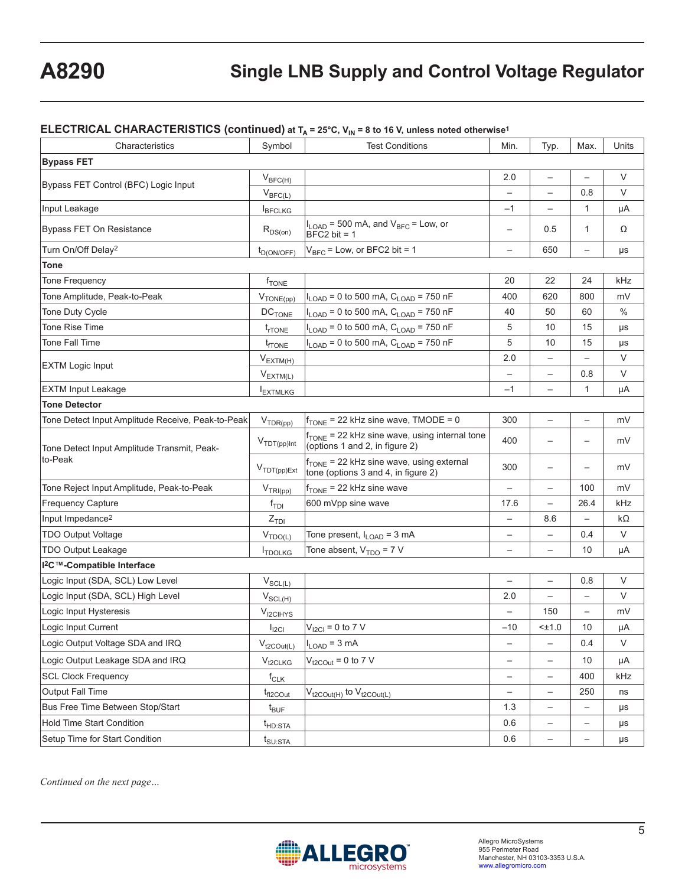#### **ELECTRICAL CHARACTERISTICS (continued) at T<sub>A</sub> = 25°C, V<sub>IN</sub> = 8 to 16 V, unless noted otherwise<sup>1</sup>**

| Characteristics                                   | Symbol                          | <b>Test Conditions</b>                                                                      | Min.                     | Typ.                     | Max.                     | Units  |
|---------------------------------------------------|---------------------------------|---------------------------------------------------------------------------------------------|--------------------------|--------------------------|--------------------------|--------|
| <b>Bypass FET</b>                                 |                                 |                                                                                             |                          |                          |                          |        |
|                                                   | $V_{BFC(H)}$                    |                                                                                             | 2.0                      | $\overline{\phantom{0}}$ | $\overline{\phantom{0}}$ | V      |
| Bypass FET Control (BFC) Logic Input              | $V_{BFC(L)}$                    |                                                                                             | $\overline{\phantom{0}}$ | $\overline{\phantom{0}}$ | 0.8                      | V      |
| Input Leakage                                     | <b>BFCLKG</b>                   |                                                                                             | $-1$                     |                          | $\mathbf{1}$             | μA     |
| <b>Bypass FET On Resistance</b>                   | $R_{DS(on)}$                    | $I_{\text{LOAD}}$ = 500 mA, and $V_{\text{BFC}}$ = Low, or<br>$BFC2 bit = 1$                | $\qquad \qquad -$        | 0.5                      | $\mathbf{1}$             | Ω      |
| Turn On/Off Delay <sup>2</sup>                    | $t_{D(ON/OFF)}$                 | $V_{BFC}$ = Low, or BFC2 bit = 1                                                            | $\qquad \qquad -$        | 650                      | $\overline{\phantom{0}}$ | μs     |
| <b>Tone</b>                                       |                                 |                                                                                             |                          |                          |                          |        |
| <b>Tone Frequency</b>                             | f <sub>TONE</sub>               |                                                                                             | 20                       | 22                       | 24                       | kHz    |
| Tone Amplitude, Peak-to-Peak                      | $V_{\text{TONE(pp)}}$           | I <sub>LOAD</sub> = 0 to 500 mA, C <sub>LOAD</sub> = 750 nF                                 | 400                      | 620                      | 800                      | mV     |
| Tone Duty Cycle                                   | $DC$ TONE                       | $I_{\text{LOAD}}$ = 0 to 500 mA, $C_{\text{LOAD}}$ = 750 nF                                 | 40                       | 50                       | 60                       | $\%$   |
| <b>Tone Rise Time</b>                             | $t_{rTONE}$                     | $I_{\text{LOAD}} = 0$ to 500 mA, $C_{\text{LOAD}} = 750$ nF                                 | 5                        | 10                       | 15                       | μs     |
| <b>Tone Fall Time</b>                             | <sup>t</sup> rtone              | $I_{\text{LOAD}}$ = 0 to 500 mA, $C_{\text{LOAD}}$ = 750 nF                                 | 5                        | 10                       | 15                       | μs     |
| <b>EXTM Logic Input</b>                           | $V_{EXTM(H)}$                   |                                                                                             | 2.0                      | $\qquad \qquad -$        | $\overline{\phantom{0}}$ | V      |
|                                                   | $V_{EXT\underline{M(L)}}$       |                                                                                             | $\overline{\phantom{0}}$ | $\qquad \qquad -$        | 0.8                      | V      |
| <b>EXTM Input Leakage</b>                         | <b>I</b> EXTMLKG                |                                                                                             | $-1$                     | $\qquad \qquad -$        | $\mathbf{1}$             | μA     |
| <b>Tone Detector</b>                              |                                 |                                                                                             |                          |                          |                          |        |
| Tone Detect Input Amplitude Receive, Peak-to-Peak | $V_{TDR(pp)}$                   | $f_{\text{TONE}}$ = 22 kHz sine wave, TMODE = 0                                             | 300                      | $\qquad \qquad -$        | $\overline{\phantom{0}}$ | mV     |
| Tone Detect Input Amplitude Transmit, Peak-       | $V_{\text{TDT(pp)}}$ Int        | $f_{\text{TONE}}$ = 22 kHz sine wave, using internal tone<br>(options 1 and 2, in figure 2) | 400                      |                          |                          | mV     |
| to-Peak                                           | $V_{\text{TDT(pp})Ext}$         | f <sub>TONE</sub> = 22 kHz sine wave, using external<br>tone (options 3 and 4, in figure 2) | 300                      |                          |                          | mV     |
| Tone Reject Input Amplitude, Peak-to-Peak         | $V_{TRI(pp)}$                   | $f_{\text{TONE}}$ = 22 kHz sine wave                                                        | $\qquad \qquad -$        | $\qquad \qquad -$        | 100                      | mV     |
| <b>Frequency Capture</b>                          | $f_{\text{TDI}}$                | 600 mVpp sine wave                                                                          | 17.6                     | $\overline{\phantom{0}}$ | 26.4                     | kHz    |
| Input Impedance <sup>2</sup>                      | $Z$ <sub>TDI</sub>              |                                                                                             | $\overline{\phantom{0}}$ | 8.6                      | $\overline{\phantom{0}}$ | kΩ     |
| <b>TDO Output Voltage</b>                         | $V_{\text{TDO}(\underline{L})}$ | Tone present, $I_{\text{LOAD}} = 3 \text{ mA}$                                              | $\qquad \qquad -$        | $\qquad \qquad -$        | 0.4                      | V      |
| <b>TDO Output Leakage</b>                         | <b>I</b> TDOLKG                 | Tone absent, $V_{TDO} = 7 V$                                                                | $\qquad \qquad -$        | $\qquad \qquad -$        | 10                       | μA     |
| I <sup>2</sup> C™-Compatible Interface            |                                 |                                                                                             |                          |                          |                          |        |
| Logic Input (SDA, SCL) Low Level                  | $V_{SCL(L)}$                    |                                                                                             | $\qquad \qquad -$        | $\qquad \qquad -$        | 0.8                      | V      |
| Logic Input (SDA, SCL) High Level                 | $V_{SCL(H)}$                    |                                                                                             | 2.0                      | $\overline{\phantom{0}}$ | $\overline{\phantom{0}}$ | $\vee$ |
| Logic Input Hysteresis                            | $V_{\text{ICIHYS}}$             |                                                                                             |                          | 150                      |                          | mV     |
| Logic Input Current                               | $I_{\text{ICI}}$                | $V_{12Cl} = 0$ to 7 V                                                                       | $-10$                    | $<$ $±1.0$               | 10                       | μA     |
| Logic Output Voltage SDA and IRQ                  | $V_{t2\text{COut(L)}}$          | $I_{LOAD} = 3 mA$                                                                           | $\qquad \qquad -$        | $\qquad \qquad -$        | 0.4                      | V      |
| Logic Output Leakage SDA and IRQ                  | $V_{t2CLKG}$                    | $V_{t2\text{COut}}$ = 0 to 7 V                                                              | $\qquad \qquad -$        | $\overline{\phantom{m}}$ | 10                       | μA     |
| <b>SCL Clock Frequency</b>                        | $f_{CLK}$                       |                                                                                             | $\overline{\phantom{0}}$ | $\overline{\phantom{0}}$ | 400                      | kHz    |
| <b>Output Fall Time</b>                           | $t_{fl2COut}$                   | $V_{t2\text{COut(H)}}$ to $V_{t2\text{COut(L)}}$                                            |                          | $\qquad \qquad -$        | 250                      | ns     |
| Bus Free Time Between Stop/Start                  | $t_{\mathsf{BUF}}$              |                                                                                             | 1.3                      | $\qquad \qquad -$        | -                        | μs     |
| Hold Time Start Condition                         | $t_{HD:STA}$                    |                                                                                             | 0.6                      | $\qquad \qquad -$        | —                        | μs     |
| Setup Time for Start Condition                    | $t_{\text{SU:STA}}$             |                                                                                             | 0.6                      |                          |                          | μs     |

*Continued on the next page…*

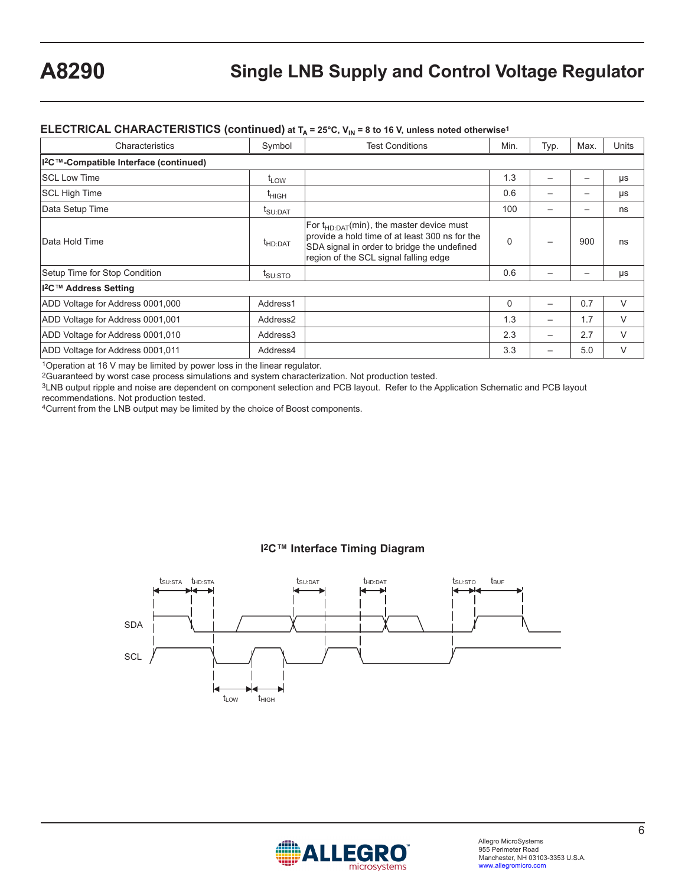#### **ELECTRICAL CHARACTERISTICS (continued) at T<sub>A</sub> = 25°C, V<sub>IN</sub> = 8 to 16 V, unless noted otherwise<sup>1</sup>**

| Characteristics                                    | Symbol                                    | <b>Test Conditions</b>                                                                                                                                                                | Min.        | Typ. | Max. | <b>Units</b> |
|----------------------------------------------------|-------------------------------------------|---------------------------------------------------------------------------------------------------------------------------------------------------------------------------------------|-------------|------|------|--------------|
| I <sup>2</sup> C™-Compatible Interface (continued) |                                           |                                                                                                                                                                                       |             |      |      |              |
| <b>SCL Low Time</b>                                | <sup>L</sup> LOW                          |                                                                                                                                                                                       | 1.3         |      | -    | μs           |
| SCL High Time                                      | <sup>І</sup> ніGН                         |                                                                                                                                                                                       | 0.6         |      |      | μs           |
| Data Setup Time                                    | $\mathfrak{r}_{\mathsf{SU}:\mathsf{DAT}}$ |                                                                                                                                                                                       | 100         |      |      | ns           |
| lData Hold Time                                    | <sup>t</sup> HD:DAT                       | $ For tHD:DAT(min),$ the master device must<br>provide a hold time of at least 300 ns for the<br>SDA signal in order to bridge the undefined<br>region of the SCL signal falling edge | $\Omega$    |      | 900  | ns           |
| Setup Time for Stop Condition                      | $I_{\text{SU:STO}}$                       |                                                                                                                                                                                       | 0.6         |      |      | μs           |
| I <sup>2</sup> C™ Address Setting                  |                                           |                                                                                                                                                                                       |             |      |      |              |
| ADD Voltage for Address 0001,000                   | Address1                                  |                                                                                                                                                                                       | $\mathbf 0$ |      | 0.7  | $\vee$       |
| ADD Voltage for Address 0001,001                   | Address <sub>2</sub>                      |                                                                                                                                                                                       | 1.3         |      | 1.7  | V            |
| ADD Voltage for Address 0001,010                   | Address3                                  |                                                                                                                                                                                       | 2.3         |      | 2.7  | $\vee$       |
| ADD Voltage for Address 0001,011                   | Address4                                  |                                                                                                                                                                                       | 3.3         |      | 5.0  | V            |

1Operation at 16 V may be limited by power loss in the linear regulator.

2Guaranteed by worst case process simulations and system characterization. Not production tested.

3LNB output ripple and noise are dependent on component selection and PCB layout. Refer to the Application Schematic and PCB layout recommendations. Not production tested.

4Current from the LNB output may be limited by the choice of Boost components.

#### **I2C™ Interface Timing Diagram**



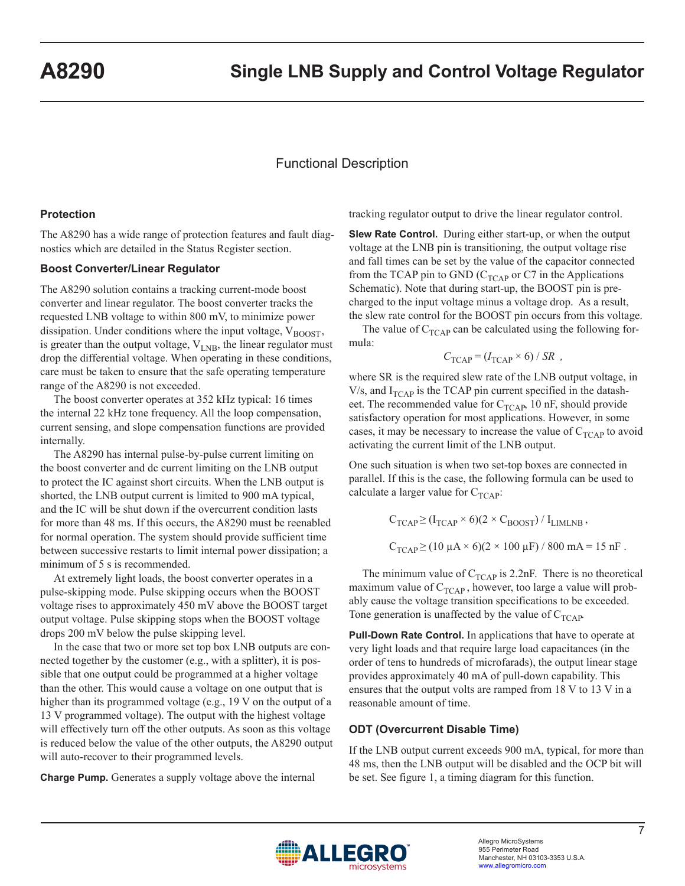## Functional Description

#### **Protection**

The A8290 has a wide range of protection features and fault diagnostics which are detailed in the Status Register section.

#### **Boost Converter/Linear Regulator**

The A8290 solution contains a tracking current-mode boost converter and linear regulator. The boost converter tracks the requested LNB voltage to within 800 mV, to minimize power dissipation. Under conditions where the input voltage,  $V_{\text{BOOST}}$ , is greater than the output voltage,  $V_{LNB}$ , the linear regulator must drop the differential voltage. When operating in these conditions, care must be taken to ensure that the safe operating temperature range of the A8290 is not exceeded.

The boost converter operates at 352 kHz typical: 16 times the internal 22 kHz tone frequency. All the loop compensation, current sensing, and slope compensation functions are provided internally.

The A8290 has internal pulse-by-pulse current limiting on the boost converter and dc current limiting on the LNB output to protect the IC against short circuits. When the LNB output is shorted, the LNB output current is limited to 900 mA typical, and the IC will be shut down if the overcurrent condition lasts for more than 48 ms. If this occurs, the A8290 must be reenabled for normal operation. The system should provide sufficient time between successive restarts to limit internal power dissipation; a minimum of 5 s is recommended.

At extremely light loads, the boost converter operates in a pulse-skipping mode. Pulse skipping occurs when the BOOST voltage rises to approximately 450 mV above the BOOST target output voltage. Pulse skipping stops when the BOOST voltage drops 200 mV below the pulse skipping level.

In the case that two or more set top box LNB outputs are connected together by the customer (e.g., with a splitter), it is possible that one output could be programmed at a higher voltage than the other. This would cause a voltage on one output that is higher than its programmed voltage (e.g., 19 V on the output of a 13 V programmed voltage). The output with the highest voltage will effectively turn off the other outputs. As soon as this voltage is reduced below the value of the other outputs, the A8290 output will auto-recover to their programmed levels.

**Charge Pump.** Generates a supply voltage above the internal

tracking regulator output to drive the linear regulator control.

**Slew Rate Control.** During either start-up, or when the output voltage at the LNB pin is transitioning, the output voltage rise and fall times can be set by the value of the capacitor connected from the TCAP pin to GND ( $C_{TCAP}$  or C7 in the Applications Schematic). Note that during start-up, the BOOST pin is precharged to the input voltage minus a voltage drop. As a result, the slew rate control for the BOOST pin occurs from this voltage.

The value of  $C_{TCAP}$  can be calculated using the following formula:

$$
C_{\text{TCAP}} = (I_{\text{TCAP}} \times 6) / SR ,
$$

where SR is the required slew rate of the LNB output voltage, in V/s, and  $I_{TCAP}$  is the TCAP pin current specified in the datasheet. The recommended value for  $C_{TCAP}$ , 10 nF, should provide satisfactory operation for most applications. However, in some cases, it may be necessary to increase the value of  $C_{TCAP}$  to avoid activating the current limit of the LNB output.

One such situation is when two set-top boxes are connected in parallel. If this is the case, the following formula can be used to calculate a larger value for  $C_{TCAP}$ :

$$
C_{\text{TCAP}} \geq (I_{\text{TCAP}} \times 6)(2 \times C_{\text{BOOST}}) / I_{\text{LIMLNB}},
$$
  
 $C_{\text{TCAP}} \geq (10 \mu A \times 6)(2 \times 100 \mu F) / 800 \text{ mA} = 15 \text{ nF}.$ 

The minimum value of  $C_{TCAP}$  is 2.2nF. There is no theoretical maximum value of  $C_{TCAP}$ , however, too large a value will probably cause the voltage transition specifications to be exceeded. Tone generation is unaffected by the value of  $C_{TCAP}$ .

**Pull-Down Rate Control.** In applications that have to operate at very light loads and that require large load capacitances (in the order of tens to hundreds of microfarads), the output linear stage provides approximately 40 mA of pull-down capability. This ensures that the output volts are ramped from 18 V to 13 V in a reasonable amount of time.

## **ODT (Overcurrent Disable Time)**

If the LNB output current exceeds 900 mA, typical, for more than 48 ms, then the LNB output will be disabled and the OCP bit will be set. See figure 1, a timing diagram for this function.

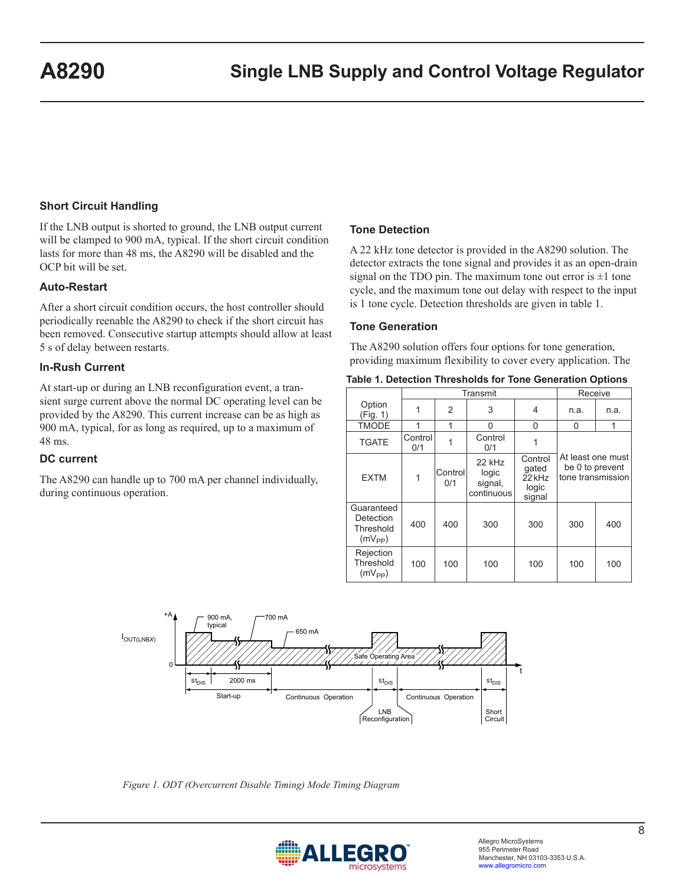## **Short Circuit Handling**

If the LNB output is shorted to ground, the LNB output current will be clamped to 900 mA, typical. If the short circuit condition lasts for more than 48 ms, the A8290 will be disabled and the OCP bit will be set.

#### **Auto-Restart**

After a short circuit condition occurs, the host controller should periodically reenable the A8290 to check if the short circuit has been removed. Consecutive startup attempts should allow at least 5 s of delay between restarts.

#### **In-Rush Current**

At start-up or during an LNB reconfiguration event, a transient surge current above the normal DC operating level can be provided by the A8290. This current increase can be as high as 900 mA, typical, for as long as required, up to a maximum of 48 ms.

#### **DC current**

The A8290 can handle up to 700 mA per channel individually, during continuous operation.

#### **Tone Detection**

A 22 kHz tone detector is provided in the A8290 solution. The detector extracts the tone signal and provides it as an open-drain signal on the TDO pin. The maximum tone out error is  $\pm 1$  tone cycle, and the maximum tone out delay with respect to the input is 1 tone cycle. Detection thresholds are given in table 1.

#### **Tone Generation**

The A8290 solution offers four options for tone generation, providing maximum flexibility to cover every application. The

|  |  | Table 1. Detection Thresholds for Tone Generation Options |  |  |  |
|--|--|-----------------------------------------------------------|--|--|--|
|--|--|-----------------------------------------------------------|--|--|--|

|                                                     |                | Transmit       | Receive                                  |                                                          |                                                           |      |  |
|-----------------------------------------------------|----------------|----------------|------------------------------------------|----------------------------------------------------------|-----------------------------------------------------------|------|--|
| Option<br>(Fig. 1)                                  |                | 2              | 3                                        | 4                                                        | n.a.                                                      | n.a. |  |
| <b>TMODE</b>                                        |                | 1              | $\Omega$                                 | 0                                                        | 0                                                         | 1    |  |
| <b>TGATE</b>                                        | Control<br>0/1 |                | Control<br>0/1                           |                                                          |                                                           |      |  |
| <b>EXTM</b>                                         | 1              | Control<br>0/1 | 22 kHz<br>logic<br>signal,<br>continuous | Control<br>qated<br>22 <sub>kHz</sub><br>logic<br>signal | At least one must<br>be 0 to prevent<br>tone transmission |      |  |
| Guaranteed<br>Detection<br>Threshold<br>$(mV_{PP})$ | 400            | 400            | 300                                      | 300                                                      | 300                                                       | 400  |  |
| Rejection<br>Threshold<br>$(mV_{PP})$               | 100            | 100            | 100                                      | 100                                                      | 100                                                       | 100  |  |



*Figure 1. ODT (Overcurrent Disable Timing) Mode Timing Diagram*

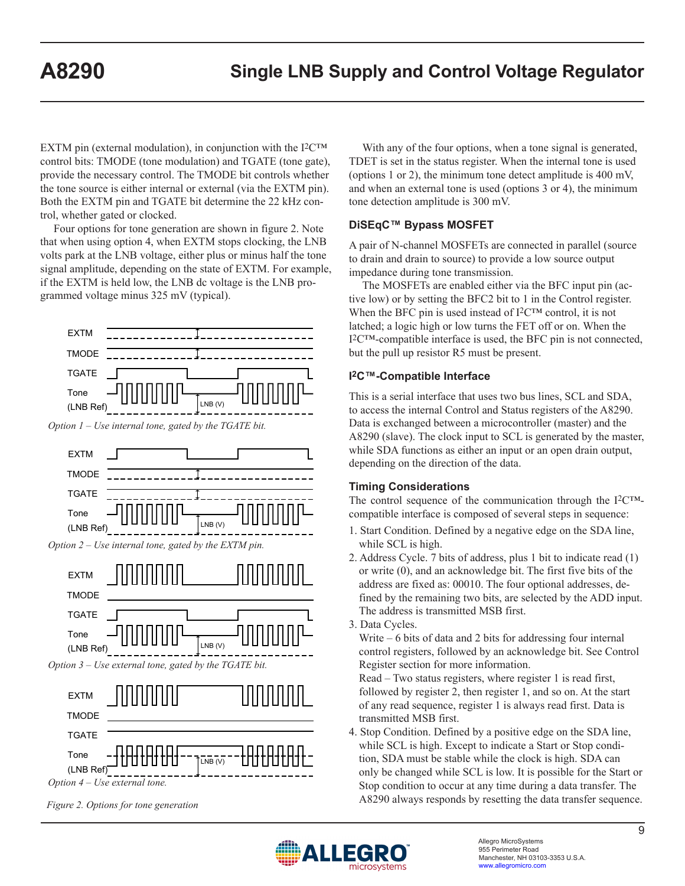EXTM pin (external modulation), in conjunction with the  $I^2C^{TM}$ control bits: TMODE (tone modulation) and TGATE (tone gate), provide the necessary control. The TMODE bit controls whether the tone source is either internal or external (via the EXTM pin). Both the EXTM pin and TGATE bit determine the 22 kHz control, whether gated or clocked.

Four options for tone generation are shown in figure 2. Note that when using option 4, when EXTM stops clocking, the LNB volts park at the LNB voltage, either plus or minus half the tone signal amplitude, depending on the state of EXTM. For example, if the EXTM is held low, the LNB dc voltage is the LNB programmed voltage minus 325 mV (typical).



With any of the four options, when a tone signal is generated, TDET is set in the status register. When the internal tone is used (options 1 or 2), the minimum tone detect amplitude is 400 mV, and when an external tone is used (options 3 or 4), the minimum tone detection amplitude is 300 mV.

## **DiSEqC™ Bypass MOSFET**

A pair of N-channel MOSFETs are connected in parallel (source to drain and drain to source) to provide a low source output impedance during tone transmission.

The MOSFETs are enabled either via the BFC input pin (active low) or by setting the BFC2 bit to 1 in the Control register. When the BFC pin is used instead of I<sup>2</sup>C™ control, it is not latched; a logic high or low turns the FET off or on. When the I2C™-compatible interface is used, the BFC pin is not connected, but the pull up resistor R5 must be present.

## **I2C™-Compatible Interface**

This is a serial interface that uses two bus lines, SCL and SDA, to access the internal Control and Status registers of the A8290. Data is exchanged between a microcontroller (master) and the A8290 (slave). The clock input to SCL is generated by the master, while SDA functions as either an input or an open drain output, depending on the direction of the data.

### **Timing Considerations**

The control sequence of the communication through the  $I^2C^{TM}$ compatible interface is composed of several steps in sequence:

- 1. Start Condition. Defined by a negative edge on the SDA line, while SCL is high.
- 2. Address Cycle. 7 bits of address, plus 1 bit to indicate read (1) or write (0), and an acknowledge bit. The first five bits of the address are fixed as: 00010. The four optional addresses, defined by the remaining two bits, are selected by the ADD input. The address is transmitted MSB first.
- 3. Data Cycles.

 Write – 6 bits of data and 2 bits for addressing four internal control registers, followed by an acknowledge bit. See Control Register section for more information.

 Read – Two status registers, where register 1 is read first, followed by register 2, then register 1, and so on. At the start of any read sequence, register 1 is always read first. Data is transmitted MSB first.

4. Stop Condition. Defined by a positive edge on the SDA line, while SCL is high. Except to indicate a Start or Stop condition, SDA must be stable while the clock is high. SDA can only be changed while SCL is low. It is possible for the Start or Stop condition to occur at any time during a data transfer. The A8290 always responds by resetting the data transfer sequence.



*Figure 2. Options for tone generation*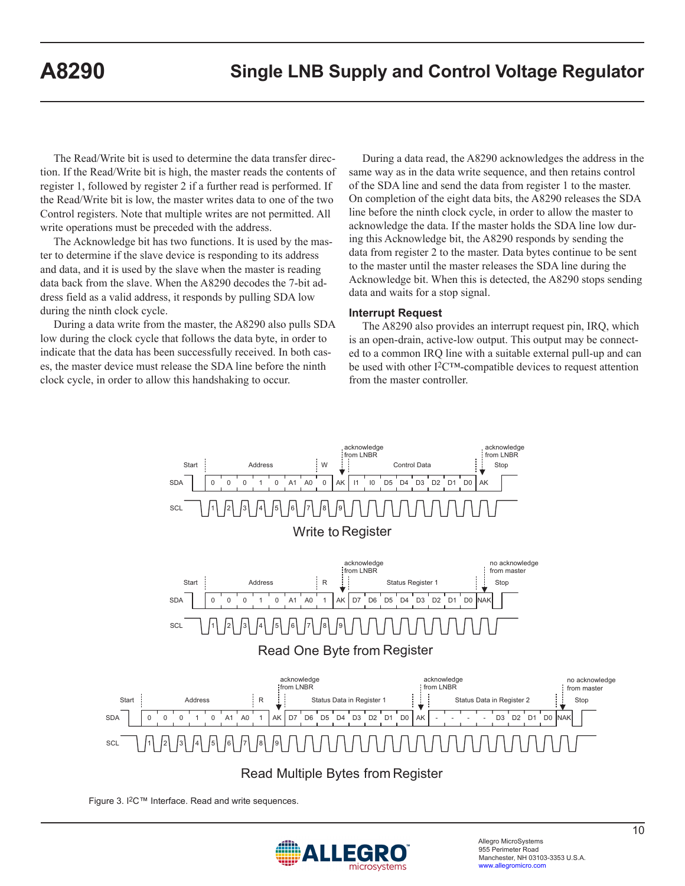The Read/Write bit is used to determine the data transfer direction. If the Read/Write bit is high, the master reads the contents of register 1, followed by register 2 if a further read is performed. If the Read/Write bit is low, the master writes data to one of the two Control registers. Note that multiple writes are not permitted. All write operations must be preceded with the address.

The Acknowledge bit has two functions. It is used by the master to determine if the slave device is responding to its address and data, and it is used by the slave when the master is reading data back from the slave. When the A8290 decodes the 7-bit address field as a valid address, it responds by pulling SDA low during the ninth clock cycle.

During a data write from the master, the A8290 also pulls SDA low during the clock cycle that follows the data byte, in order to indicate that the data has been successfully received. In both cases, the master device must release the SDA line before the ninth clock cycle, in order to allow this handshaking to occur.

During a data read, the A8290 acknowledges the address in the same way as in the data write sequence, and then retains control of the SDA line and send the data from register 1 to the master. On completion of the eight data bits, the A8290 releases the SDA line before the ninth clock cycle, in order to allow the master to acknowledge the data. If the master holds the SDA line low during this Acknowledge bit, the A8290 responds by sending the data from register 2 to the master. Data bytes continue to be sent to the master until the master releases the SDA line during the Acknowledge bit. When this is detected, the A8290 stops sending data and waits for a stop signal.

#### **Interrupt Request**

The A8290 also provides an interrupt request pin, IRQ, which is an open-drain, active-low output. This output may be connected to a common IRQ line with a suitable external pull-up and can be used with other I2C™-compatible devices to request attention from the master controller.



Figure 3. I2C™ Interface. Read and write sequences.

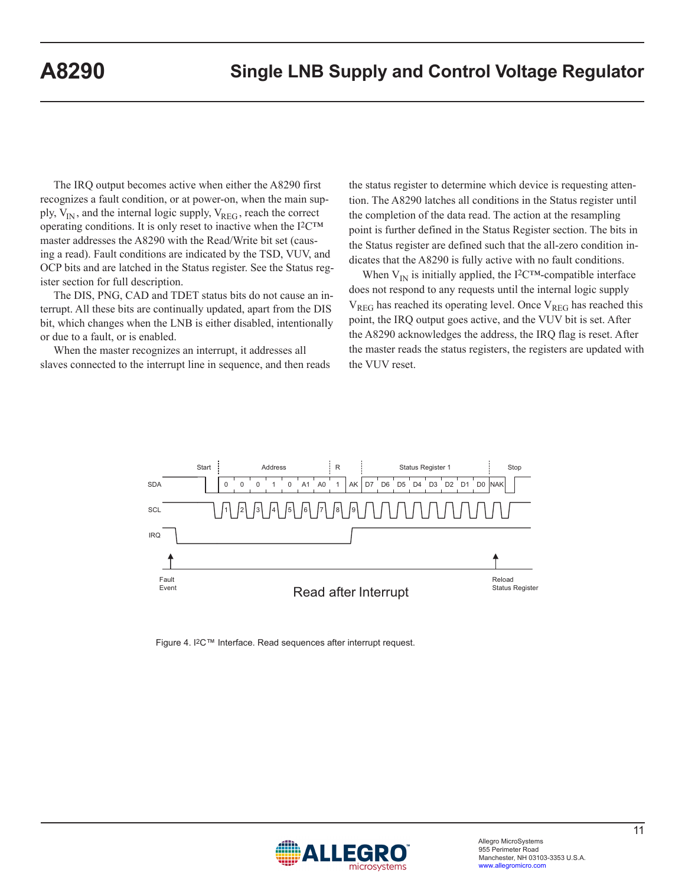The IRQ output becomes active when either the A8290 first recognizes a fault condition, or at power-on, when the main supply,  $V_{IN}$ , and the internal logic supply,  $V_{REG}$ , reach the correct operating conditions. It is only reset to inactive when the I2C™ master addresses the A8290 with the Read/Write bit set (causing a read). Fault conditions are indicated by the TSD, VUV, and OCP bits and are latched in the Status register. See the Status register section for full description.

The DIS, PNG, CAD and TDET status bits do not cause an interrupt. All these bits are continually updated, apart from the DIS bit, which changes when the LNB is either disabled, intentionally or due to a fault, or is enabled.

When the master recognizes an interrupt, it addresses all slaves connected to the interrupt line in sequence, and then reads the status register to determine which device is requesting attention. The A8290 latches all conditions in the Status register until the completion of the data read. The action at the resampling point is further defined in the Status Register section. The bits in the Status register are defined such that the all-zero condition indicates that the A8290 is fully active with no fault conditions.

When  $V_{IN}$  is initially applied, the I<sup>2</sup>C<sup>TM</sup>-compatible interface does not respond to any requests until the internal logic supply  $V_{REG}$  has reached its operating level. Once  $V_{REG}$  has reached this point, the IRQ output goes active, and the VUV bit is set. After the A8290 acknowledges the address, the IRQ flag is reset. After the master reads the status registers, the registers are updated with the VUV reset.



Figure 4. I2C™ Interface. Read sequences after interrupt request.

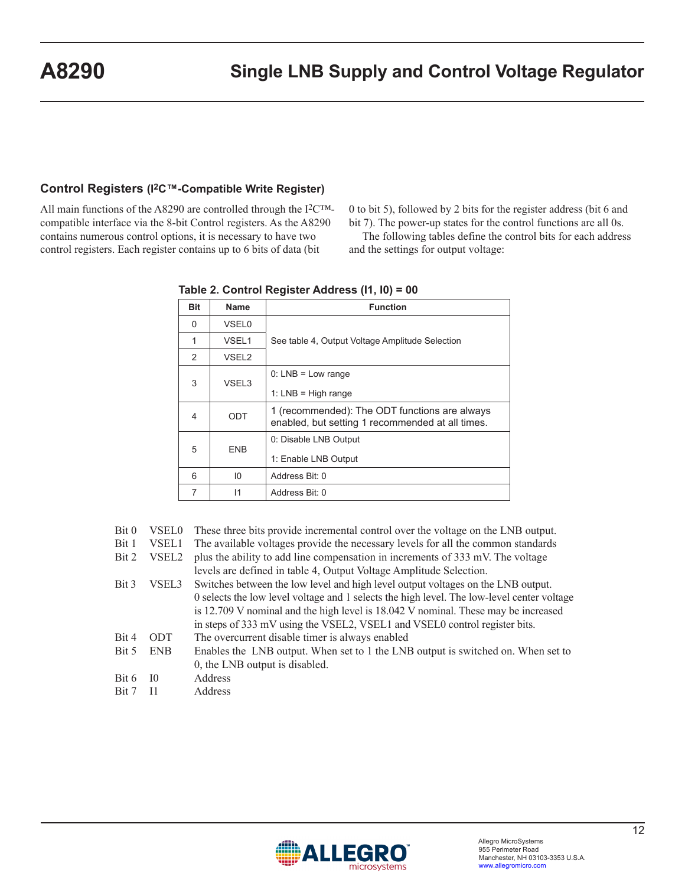### **Control Registers (I2C™-Compatible Write Register)**

All main functions of the A8290 are controlled through the I2C™ compatible interface via the 8-bit Control registers. As the A8290 contains numerous control options, it is necessary to have two control registers. Each register contains up to 6 bits of data (bit

0 to bit 5), followed by 2 bits for the register address (bit 6 and bit 7). The power-up states for the control functions are all 0s.

The following tables define the control bits for each address and the settings for output voltage:

| Bit           | Name              | <b>Function</b>                                                                                   |
|---------------|-------------------|---------------------------------------------------------------------------------------------------|
| $\Omega$      | <b>VSEL0</b>      |                                                                                                   |
| 1             | VSEL <sub>1</sub> | See table 4, Output Voltage Amplitude Selection                                                   |
| $\mathcal{P}$ | VSEL <sub>2</sub> |                                                                                                   |
| 3             | VSEL3             | $0: LNB = Low range$                                                                              |
|               |                   | 1: $LNB = High range$                                                                             |
| 4             | ODT               | 1 (recommended): The ODT functions are always<br>enabled, but setting 1 recommended at all times. |
|               |                   | 0: Disable LNB Output                                                                             |
| 5             | <b>ENB</b>        | 1: Enable LNB Output                                                                              |
| 6             | 10                | Address Bit: 0                                                                                    |
| 7             | $\mathsf{I}$      | Address Bit: 0                                                                                    |

**Table 2. Control Register Address (I1, I0) = 00**

|  |  | Bit 0 VSEL0 These three bits provide incremental control over the voltage on the LNB output. |  |  |  |  |  |  |  |  |  |
|--|--|----------------------------------------------------------------------------------------------|--|--|--|--|--|--|--|--|--|
|--|--|----------------------------------------------------------------------------------------------|--|--|--|--|--|--|--|--|--|

Bit 1 VSEL1 The available voltages provide the necessary levels for all the common standards

|  | Bit 2 VSEL2 plus the ability to add line compensation in increments of 333 mV. The voltage |
|--|--------------------------------------------------------------------------------------------|
|  | levels are defined in table 4, Output Voltage Amplitude Selection.                         |

- Bit 3 VSEL3 Switches between the low level and high level output voltages on the LNB output. 0 selects the low level voltage and 1 selects the high level. The low-level center voltage is 12.709 V nominal and the high level is 18.042 V nominal. These may be increased in steps of 333 mV using the VSEL2, VSEL1 and VSEL0 control register bits. Bit 4 ODT The overcurrent disable timer is always enabled Bit 5 ENB Enables the LNB output. When set to 1 the LNB output is switched on. When set to 0, the LNB output is disabled. Bit 6 I0 Address
- Bit 7 I1 Address

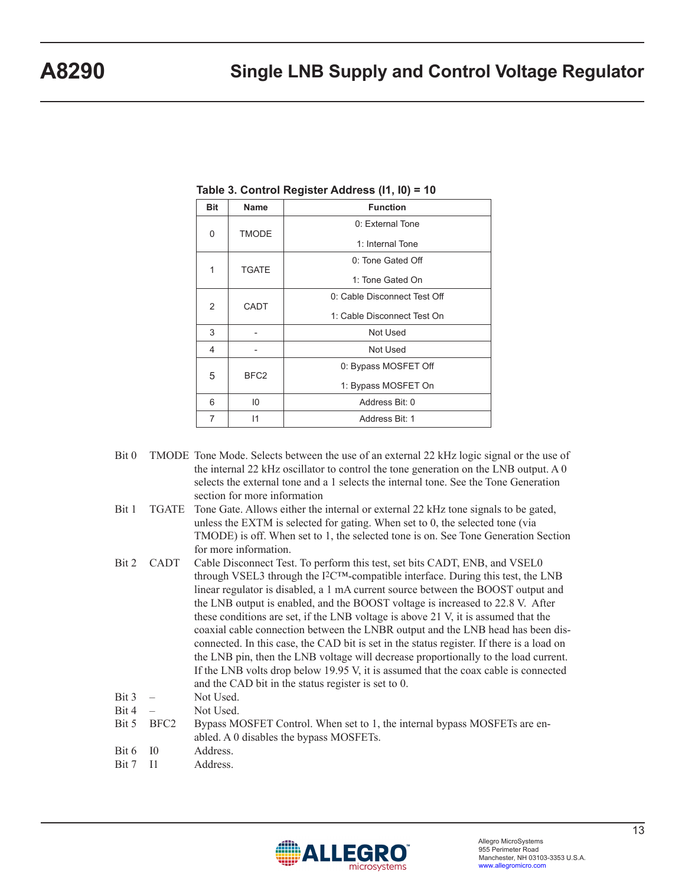| <b>Bit</b>        | <b>Name</b>           | <b>Function</b>              |
|-------------------|-----------------------|------------------------------|
| 0                 |                       | 0: External Tone             |
|                   | <b>TMODE</b>          | 1: Internal Tone             |
|                   |                       | 0: Tone Gated Off            |
| <b>TGATE</b><br>1 | 1: Tone Gated On      |                              |
|                   | CADT<br>2             | 0: Cable Disconnect Test Off |
|                   |                       | 1: Cable Disconnect Test On  |
| 3                 |                       | Not Used                     |
| 4                 |                       | Not Used                     |
|                   | 5<br>BFC <sub>2</sub> | 0: Bypass MOSFET Off         |
|                   |                       | 1: Bypass MOSFET On          |
| 6                 | 10                    | Address Bit: 0               |
| 7                 | 11                    | Address Bit: 1               |

**Table 3. Control Register Address (I1, I0) = 10**

- Bit 0 TMODE Tone Mode. Selects between the use of an external 22 kHz logic signal or the use of the internal 22 kHz oscillator to control the tone generation on the LNB output. A 0 selects the external tone and a 1 selects the internal tone. See the Tone Generation section for more information
- Bit 1 TGATE Tone Gate. Allows either the internal or external 22 kHz tone signals to be gated, unless the EXTM is selected for gating. When set to 0, the selected tone (via TMODE) is off. When set to 1, the selected tone is on. See Tone Generation Section for more information.
- Bit 2 CADT Cable Disconnect Test. To perform this test, set bits CADT, ENB, and VSEL0 through VSEL3 through the  $I^2C^{TM}$ -compatible interface. During this test, the LNB linear regulator is disabled, a 1 mA current source between the BOOST output and the LNB output is enabled, and the BOOST voltage is increased to 22.8 V. After these conditions are set, if the LNB voltage is above 21 V, it is assumed that the coaxial cable connection between the LNBR output and the LNB head has been disconnected. In this case, the CAD bit is set in the status register. If there is a load on the LNB pin, then the LNB voltage will decrease proportionally to the load current. If the LNB volts drop below 19.95 V, it is assumed that the coax cable is connected and the CAD bit in the status register is set to 0.
- Bit 3 Not Used.
- $Bit 4$  Not Used.
- Bit 5 BFC2 Bypass MOSFET Control. When set to 1, the internal bypass MOSFETs are enabled. A 0 disables the bypass MOSFETs.
- Bit 6 I0 Address.
- Bit 7 I1 Address.

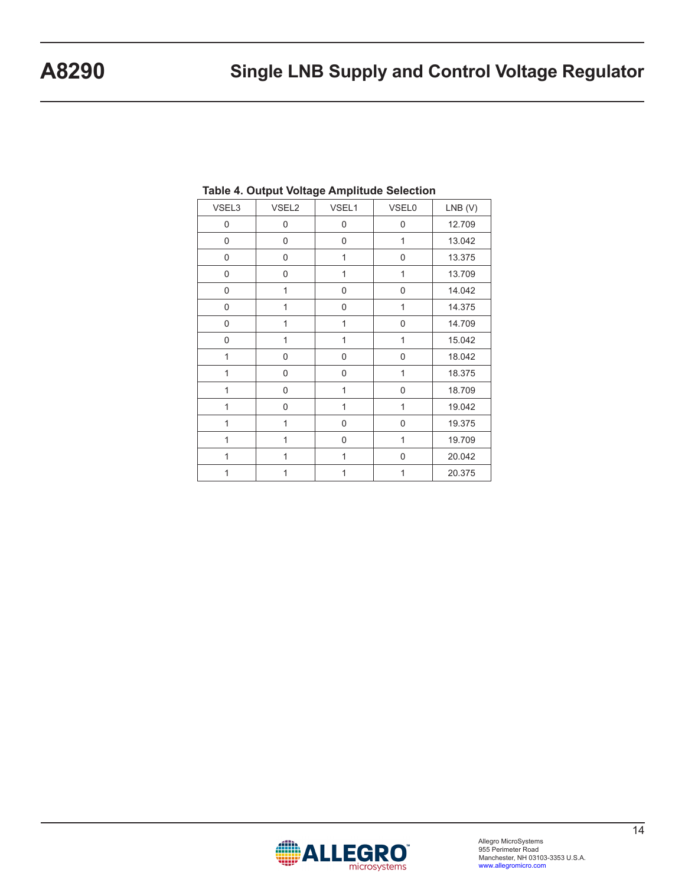| VSEL3        | VSEL2          | VSEL1          | <b>VSEL0</b>   | $LNB$ (V) |
|--------------|----------------|----------------|----------------|-----------|
| $\mathbf 0$  | 0              | $\overline{0}$ | $\mathbf 0$    | 12.709    |
| 0            | 0              | 0              | 1              | 13.042    |
| 0            | 0              | 1              | 0              | 13.375    |
| 0            | 0              | $\mathbf{1}$   | $\mathbf{1}$   | 13.709    |
| 0            | 1              | $\mathbf 0$    | 0              | 14.042    |
| $\mathbf{0}$ | $\overline{1}$ | 0              | $\overline{1}$ | 14.375    |
| $\mathbf 0$  | $\mathbf{1}$   | $\mathbf{1}$   | $\overline{0}$ | 14.709    |
| $\mathbf 0$  | $\mathbf{1}$   | 1              | $\mathbf{1}$   | 15.042    |
| 1            | 0              | $\mathbf 0$    | 0              | 18.042    |
| 1            | 0              | $\mathbf 0$    | 1              | 18.375    |
| 1            | $\mathbf 0$    | 1              | 0              | 18.709    |
| 1            | 0              | $\overline{1}$ | $\overline{1}$ | 19.042    |
| $\mathbf{1}$ | $\mathbf{1}$   | 0              | $\mathbf 0$    | 19.375    |
| $\mathbf{1}$ | $\mathbf{1}$   | 0              | $\mathbf{1}$   | 19.709    |
| 1            | $\overline{1}$ | 1              | 0              | 20.042    |
| 1            | 1              | 1              | $\mathbf{1}$   | 20.375    |

### **Table 4. Output Voltage Amplitude Selection**

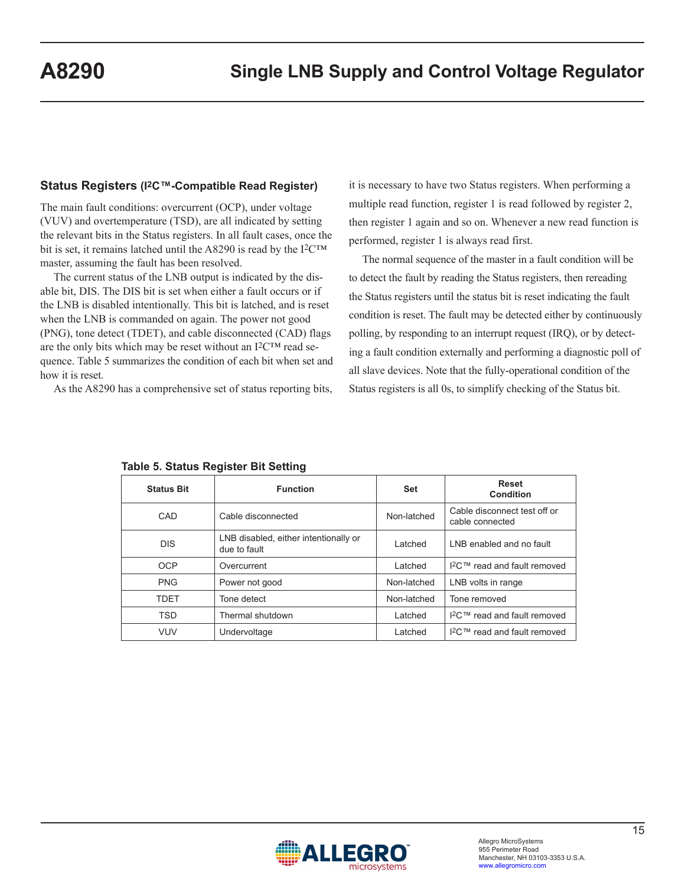#### **Status Registers (I2C™-Compatible Read Register)**

The main fault conditions: overcurrent (OCP), under voltage (VUV) and overtemperature (TSD), are all indicated by setting the relevant bits in the Status registers. In all fault cases, once the bit is set, it remains latched until the A8290 is read by the I<sup>2</sup>C™ master, assuming the fault has been resolved.

The current status of the LNB output is indicated by the disable bit, DIS. The DIS bit is set when either a fault occurs or if the LNB is disabled intentionally. This bit is latched, and is reset when the LNB is commanded on again. The power not good (PNG), tone detect (TDET), and cable disconnected (CAD) flags are the only bits which may be reset without an  $12<sup>CTM</sup>$  read sequence. Table 5 summarizes the condition of each bit when set and how it is reset.

As the A8290 has a comprehensive set of status reporting bits,

it is necessary to have two Status registers. When performing a multiple read function, register 1 is read followed by register 2, then register 1 again and so on. Whenever a new read function is performed, register 1 is always read first.

The normal sequence of the master in a fault condition will be to detect the fault by reading the Status registers, then rereading the Status registers until the status bit is reset indicating the fault condition is reset. The fault may be detected either by continuously polling, by responding to an interrupt request (IRQ), or by detecting a fault condition externally and performing a diagnostic poll of all slave devices. Note that the fully-operational condition of the Status registers is all 0s, to simplify checking of the Status bit.

| <b>Status Bit</b> | <b>Function</b>                                       | <b>Set</b>  | Reset<br><b>Condition</b>                       |
|-------------------|-------------------------------------------------------|-------------|-------------------------------------------------|
| CAD               | Cable disconnected                                    | Non-latched | Cable disconnect test off or<br>cable connected |
| <b>DIS</b>        | LNB disabled, either intentionally or<br>due to fault | I atched    | LNB enabled and no fault                        |
| <b>OCP</b>        | Overcurrent                                           | Latched     | I <sup>2</sup> C™ read and fault removed        |
| <b>PNG</b>        | Power not good                                        | Non-latched | LNB volts in range                              |
| <b>TDFT</b>       | Tone detect                                           | Non-latched | Tone removed                                    |
| <b>TSD</b>        | Thermal shutdown                                      | Latched     | $12$ C™ read and fault removed                  |
| <b>VUV</b>        | Undervoltage                                          | Latched     | I <sup>2</sup> C™ read and fault removed        |

**Table 5. Status Register Bit Setting**

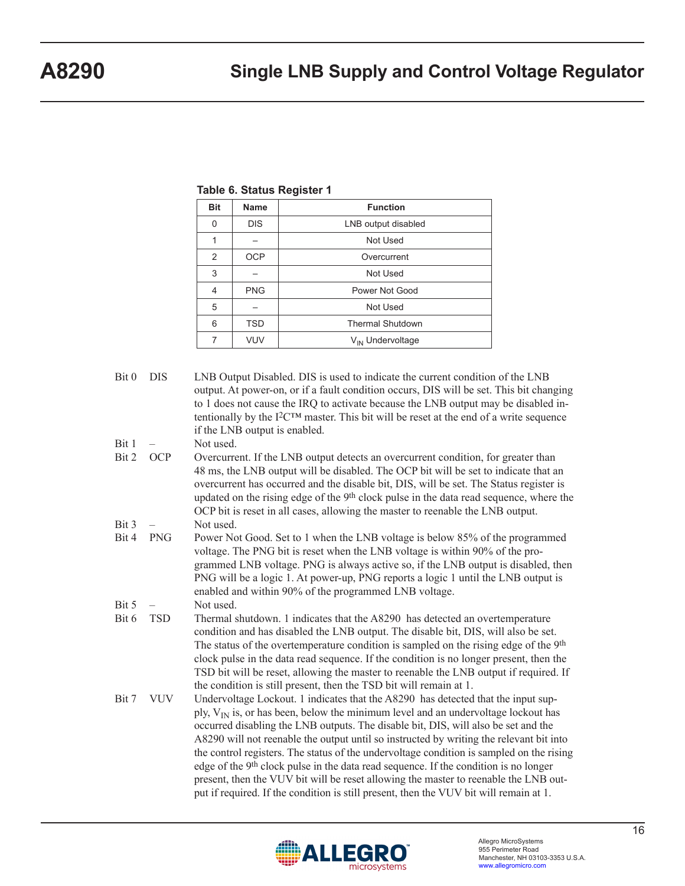| <b>Bit</b>     | <b>Name</b> | <b>Function</b>              |
|----------------|-------------|------------------------------|
| 0              | <b>DIS</b>  | LNB output disabled          |
| 1              |             | Not Used                     |
| $\overline{2}$ | <b>OCP</b>  | Overcurrent                  |
| 3              |             | Not Used                     |
| 4              | <b>PNG</b>  | Power Not Good               |
| 5              |             | Not Used                     |
| 6              | <b>TSD</b>  | <b>Thermal Shutdown</b>      |
| 7              | <b>VUV</b>  | V <sub>IN</sub> Undervoltage |

**Table 6. Status Register 1** 

### Bit 0 DIS LNB Output Disabled. DIS is used to indicate the current condition of the LNB output. At power-on, or if a fault condition occurs, DIS will be set. This bit changing to 1 does not cause the IRQ to activate because the LNB output may be disabled intentionally by the  $I^2C^{TM}$  master. This bit will be reset at the end of a write sequence if the LNB output is enabled.  $Bit 1 -$  Not used. Bit 2 OCP Overcurrent. If the LNB output detects an overcurrent condition, for greater than 48 ms, the LNB output will be disabled. The OCP bit will be set to indicate that an overcurrent has occurred and the disable bit, DIS, will be set. The Status register is updated on the rising edge of the 9<sup>th</sup> clock pulse in the data read sequence, where the OCP bit is reset in all cases, allowing the master to reenable the LNB output.  $Bit 3 -$  Not used. Bit 4 PNG Power Not Good. Set to 1 when the LNB voltage is below 85% of the programmed voltage. The PNG bit is reset when the LNB voltage is within 90% of the programmed LNB voltage. PNG is always active so, if the LNB output is disabled, then PNG will be a logic 1. At power-up, PNG reports a logic 1 until the LNB output is enabled and within 90% of the programmed LNB voltage.  $Bit 5 - Not used.$ Bit 6 TSD Thermal shutdown. 1 indicates that the A8290 has detected an overtemperature condition and has disabled the LNB output. The disable bit, DIS, will also be set. The status of the overtemperature condition is sampled on the rising edge of the 9<sup>th</sup> clock pulse in the data read sequence. If the condition is no longer present, then the TSD bit will be reset, allowing the master to reenable the LNB output if required. If the condition is still present, then the TSD bit will remain at 1. Bit 7 VUV Undervoltage Lockout. 1 indicates that the A8290 has detected that the input supply,  $V_{IN}$  is, or has been, below the minimum level and an undervoltage lockout has occurred disabling the LNB outputs. The disable bit, DIS, will also be set and the A8290 will not reenable the output until so instructed by writing the relevant bit into the control registers. The status of the undervoltage condition is sampled on the rising edge of the 9th clock pulse in the data read sequence. If the condition is no longer present, then the VUV bit will be reset allowing the master to reenable the LNB output if required. If the condition is still present, then the VUV bit will remain at 1.

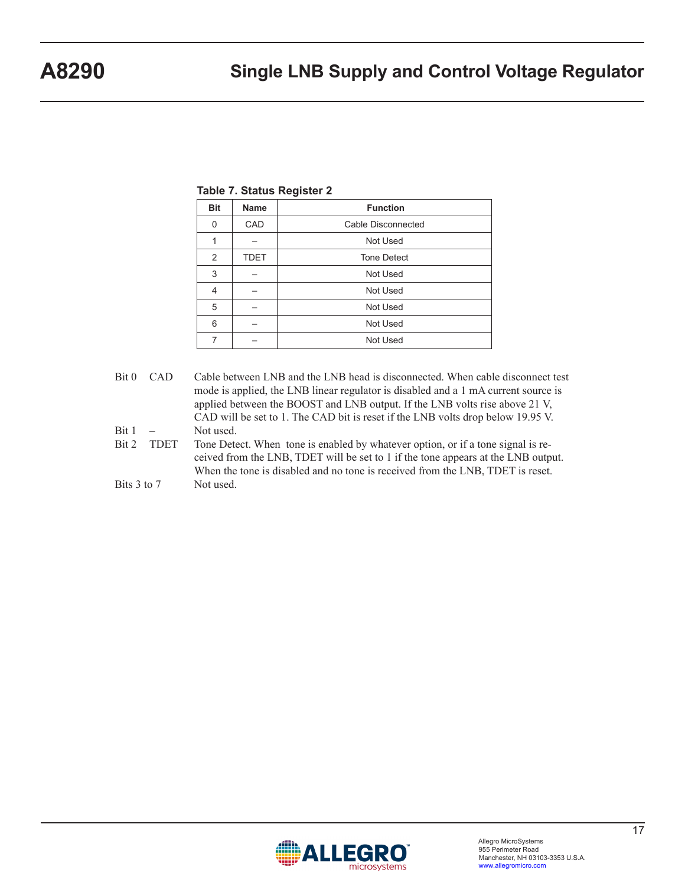| <b>Name</b> | <b>Function</b>    |
|-------------|--------------------|
| CAD         | Cable Disconnected |
|             | Not Used           |
| <b>TDET</b> | <b>Tone Detect</b> |
|             | Not Used           |
|             | Not Used           |
|             | Not Used           |
|             | Not Used           |
|             | Not Used           |
|             |                    |

### **Table 7. Status Register 2**

- Bit 0 CAD Cable between LNB and the LNB head is disconnected. When cable disconnect test mode is applied, the LNB linear regulator is disabled and a 1 mA current source is applied between the BOOST and LNB output. If the LNB volts rise above 21 V, CAD will be set to 1. The CAD bit is reset if the LNB volts drop below 19.95 V. Bit 1 – Not used. Bit 2 TDET Tone Detect. When tone is enabled by whatever option, or if a tone signal is received from the LNB, TDET will be set to 1 if the tone appears at the LNB output.
- When the tone is disabled and no tone is received from the LNB, TDET is reset. Bits 3 to 7 Not used.

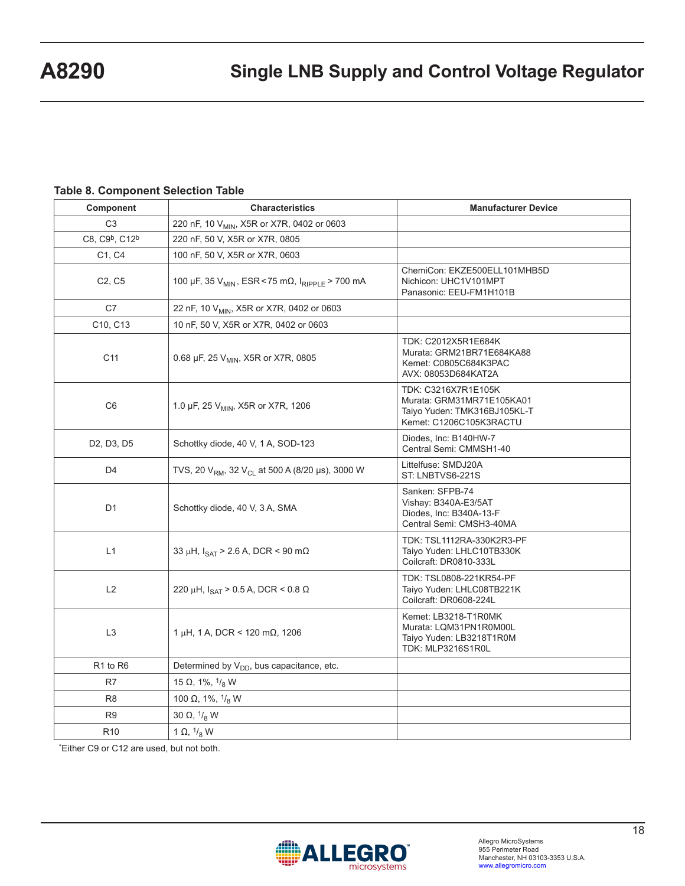## **Table 8. Component Selection Table**

| Component                                        | <b>Characteristics</b>                                                  | <b>Manufacturer Device</b>                                                                                  |  |
|--------------------------------------------------|-------------------------------------------------------------------------|-------------------------------------------------------------------------------------------------------------|--|
| C <sub>3</sub>                                   | 220 nF, 10 V <sub>MIN</sub> , X5R or X7R, 0402 or 0603                  |                                                                                                             |  |
| C8, C9 <sup>b</sup> , C12 <sup>b</sup>           | 220 nF, 50 V, X5R or X7R, 0805                                          |                                                                                                             |  |
| C1, C4                                           | 100 nF, 50 V, X5R or X7R, 0603                                          |                                                                                                             |  |
| C <sub>2</sub> , C <sub>5</sub>                  | 100 μF, 35 V <sub>MIN</sub> , ESR < 75 mΩ, I <sub>RIPPLE</sub> > 700 mA | ChemiCon: EKZE500ELL101MHB5D<br>Nichicon: UHC1V101MPT<br>Panasonic: EEU-FM1H101B                            |  |
| C7                                               | 22 nF, 10 V <sub>MIN</sub> , X5R or X7R, 0402 or 0603                   |                                                                                                             |  |
| C10, C13                                         | 10 nF, 50 V, X5R or X7R, 0402 or 0603                                   |                                                                                                             |  |
| C <sub>11</sub>                                  | 0.68 µF, 25 V <sub>MIN</sub> , X5R or X7R, 0805                         | TDK: C2012X5R1E684K<br>Murata: GRM21BR71E684KA88<br>Kemet: C0805C684K3PAC<br>AVX: 08053D684KAT2A            |  |
| C <sub>6</sub>                                   | 1.0 µF, 25 V <sub>MIN</sub> , X5R or X7R, 1206                          | TDK: C3216X7R1E105K<br>Murata: GRM31MR71E105KA01<br>Taiyo Yuden: TMK316BJ105KL-T<br>Kemet: C1206C105K3RACTU |  |
| D <sub>2</sub> , D <sub>3</sub> , D <sub>5</sub> | Schottky diode, 40 V, 1 A, SOD-123                                      | Diodes, Inc: B140HW-7<br>Central Semi: CMMSH1-40                                                            |  |
| D <sub>4</sub>                                   | TVS, 20 $V_{RM}$ , 32 $V_{CL}$ at 500 A (8/20 µs), 3000 W               | Littelfuse: SMDJ20A<br>ST: LNBTVS6-221S                                                                     |  |
| D <sub>1</sub>                                   | Schottky diode, 40 V, 3 A, SMA                                          | Sanken: SFPB-74<br>Vishay: B340A-E3/5AT<br>Diodes, Inc: B340A-13-F<br>Central Semi: CMSH3-40MA              |  |
| L1                                               | 33 µH, $I_{\text{SAT}}$ > 2.6 A, DCR < 90 m $\Omega$                    | TDK: TSL1112RA-330K2R3-PF<br>Taiyo Yuden: LHLC10TB330K<br>Coilcraft: DR0810-333L                            |  |
| L2                                               | 220 μH, $I_{\text{SAT}}$ > 0.5 A, DCR < 0.8 Ω                           | TDK: TSL0808-221KR54-PF<br>Taiyo Yuden: LHLC08TB221K<br>Coilcraft: DR0608-224L                              |  |
| L <sub>3</sub>                                   | $1 \mu$ H, 1 A, DCR < 120 mΩ, 1206                                      | Kemet: LB3218-T1R0MK<br>Murata: LQM31PN1R0M00L<br>Taiyo Yuden: LB3218T1R0M<br>TDK: MLP3216S1R0L             |  |
| R <sub>1</sub> to R <sub>6</sub>                 | Determined by V <sub>DD</sub> , bus capacitance, etc.                   |                                                                                                             |  |
| R7                                               | 15 $\Omega$ , 1%, $1\frac{1}{8}$ W                                      |                                                                                                             |  |
| R <sub>8</sub>                                   | 100 $\Omega$ , 1%, $\frac{1}{8}$ W                                      |                                                                                                             |  |
| R <sub>9</sub>                                   | 30 $\Omega$ , $\frac{1}{8}$ W                                           |                                                                                                             |  |
| R <sub>10</sub>                                  | 1 $\Omega$ , $\frac{1}{8}$ W                                            |                                                                                                             |  |

\*Either C9 or C12 are used, but not both.

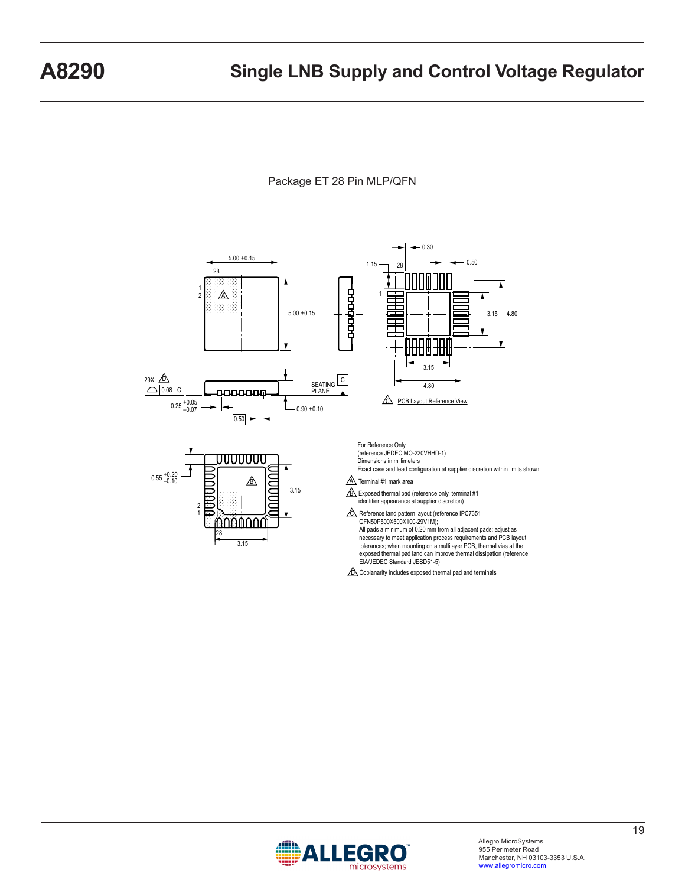Package ET 28 Pin MLP/QFN